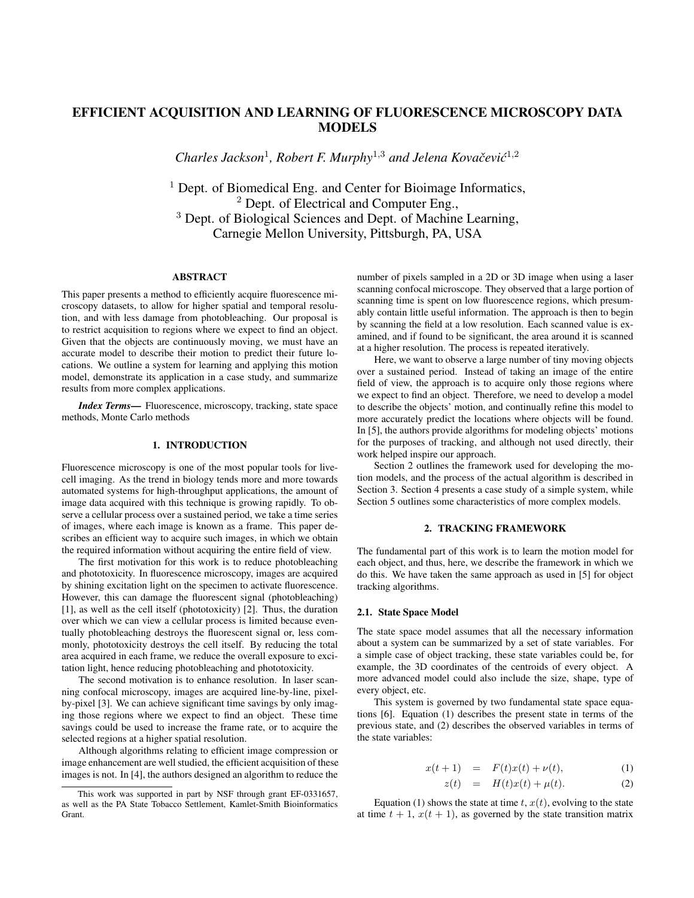# EFFICIENT ACQUISITION AND LEARNING OF FLUORESCENCE MICROSCOPY DATA MODELS

*Charles Jackson<sup>1</sup>, Robert F. Murphy*<sup>1,3</sup> and Jelena Kovačević<sup>1,2</sup>

 $<sup>1</sup>$  Dept. of Biomedical Eng. and Center for Bioimage Informatics,</sup> <sup>2</sup> Dept. of Electrical and Computer Eng., <sup>3</sup> Dept. of Biological Sciences and Dept. of Machine Learning, Carnegie Mellon University, Pittsburgh, PA, USA

# ABSTRACT

This paper presents a method to efficiently acquire fluorescence microscopy datasets, to allow for higher spatial and temporal resolution, and with less damage from photobleaching. Our proposal is to restrict acquisition to regions where we expect to find an object. Given that the objects are continuously moving, we must have an accurate model to describe their motion to predict their future locations. We outline a system for learning and applying this motion model, demonstrate its application in a case study, and summarize results from more complex applications.

*Index Terms*— Fluorescence, microscopy, tracking, state space methods, Monte Carlo methods

#### 1. INTRODUCTION

Fluorescence microscopy is one of the most popular tools for livecell imaging. As the trend in biology tends more and more towards automated systems for high-throughput applications, the amount of image data acquired with this technique is growing rapidly. To observe a cellular process over a sustained period, we take a time series of images, where each image is known as a frame. This paper describes an efficient way to acquire such images, in which we obtain the required information without acquiring the entire field of view.

The first motivation for this work is to reduce photobleaching and phototoxicity. In fluorescence microscopy, images are acquired by shining excitation light on the specimen to activate fluorescence. However, this can damage the fluorescent signal (photobleaching) [1], as well as the cell itself (phototoxicity) [2]. Thus, the duration over which we can view a cellular process is limited because eventually photobleaching destroys the fluorescent signal or, less commonly, phototoxicity destroys the cell itself. By reducing the total area acquired in each frame, we reduce the overall exposure to excitation light, hence reducing photobleaching and phototoxicity.

The second motivation is to enhance resolution. In laser scanning confocal microscopy, images are acquired line-by-line, pixelby-pixel [3]. We can achieve significant time savings by only imaging those regions where we expect to find an object. These time savings could be used to increase the frame rate, or to acquire the selected regions at a higher spatial resolution.

Although algorithms relating to efficient image compression or image enhancement are well studied, the efficient acquisition of these images is not. In [4], the authors designed an algorithm to reduce the

number of pixels sampled in a 2D or 3D image when using a laser scanning confocal microscope. They observed that a large portion of scanning time is spent on low fluorescence regions, which presumably contain little useful information. The approach is then to begin by scanning the field at a low resolution. Each scanned value is examined, and if found to be significant, the area around it is scanned at a higher resolution. The process is repeated iteratively.

Here, we want to observe a large number of tiny moving objects over a sustained period. Instead of taking an image of the entire field of view, the approach is to acquire only those regions where we expect to find an object. Therefore, we need to develop a model to describe the objects' motion, and continually refine this model to more accurately predict the locations where objects will be found. In [5], the authors provide algorithms for modeling objects' motions for the purposes of tracking, and although not used directly, their work helped inspire our approach.

Section 2 outlines the framework used for developing the motion models, and the process of the actual algorithm is described in Section 3. Section 4 presents a case study of a simple system, while Section 5 outlines some characteristics of more complex models.

## 2. TRACKING FRAMEWORK

The fundamental part of this work is to learn the motion model for each object, and thus, here, we describe the framework in which we do this. We have taken the same approach as used in [5] for object tracking algorithms.

#### 2.1. State Space Model

The state space model assumes that all the necessary information about a system can be summarized by a set of state variables. For a simple case of object tracking, these state variables could be, for example, the 3D coordinates of the centroids of every object. A more advanced model could also include the size, shape, type of every object, etc.

This system is governed by two fundamental state space equations [6]. Equation (1) describes the present state in terms of the previous state, and (2) describes the observed variables in terms of the state variables:

$$
x(t+1) = F(t)x(t) + \nu(t), \t(1)
$$

$$
z(t) = H(t)x(t) + \mu(t). \tag{2}
$$

Equation (1) shows the state at time t,  $x(t)$ , evolving to the state at time  $t + 1$ ,  $x(t + 1)$ , as governed by the state transition matrix

This work was supported in part by NSF through grant EF-0331657, as well as the PA State Tobacco Settlement, Kamlet-Smith Bioinformatics Grant.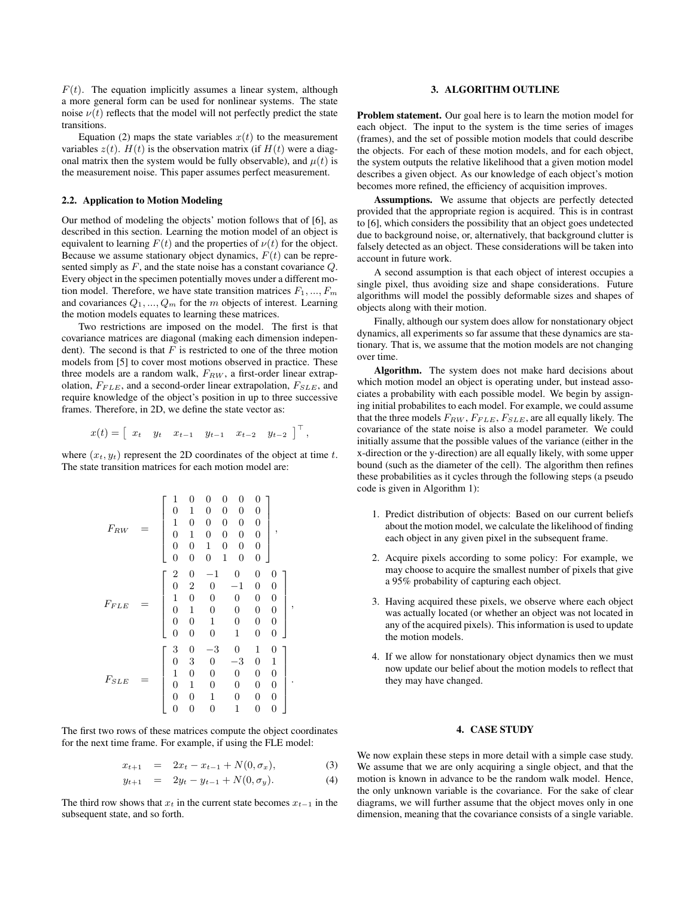$F(t)$ . The equation implicitly assumes a linear system, although a more general form can be used for nonlinear systems. The state noise  $\nu(t)$  reflects that the model will not perfectly predict the state transitions.

Equation (2) maps the state variables  $x(t)$  to the measurement variables  $z(t)$ .  $H(t)$  is the observation matrix (if  $H(t)$  were a diagonal matrix then the system would be fully observable), and  $\mu(t)$  is the measurement noise. This paper assumes perfect measurement.

#### 2.2. Application to Motion Modeling

Our method of modeling the objects' motion follows that of [6], as described in this section. Learning the motion model of an object is equivalent to learning  $F(t)$  and the properties of  $\nu(t)$  for the object. Because we assume stationary object dynamics,  $F(t)$  can be represented simply as  $F$ , and the state noise has a constant covariance  $Q$ . Every object in the specimen potentially moves under a different motion model. Therefore, we have state transition matrices  $F_1, ..., F_m$ and covariances  $Q_1, ..., Q_m$  for the m objects of interest. Learning the motion models equates to learning these matrices.

Two restrictions are imposed on the model. The first is that covariance matrices are diagonal (making each dimension independent). The second is that  $F$  is restricted to one of the three motion models from [5] to cover most motions observed in practice. These three models are a random walk,  $F_{RW}$ , a first-order linear extrapolation,  $F_{FLE}$ , and a second-order linear extrapolation,  $F_{SLE}$ , and require knowledge of the object's position in up to three successive frames. Therefore, in 2D, we define the state vector as:

$$
x(t) = \begin{bmatrix} x_t & y_t & x_{t-1} & y_{t-1} & x_{t-2} & y_{t-2} \end{bmatrix}^\top,
$$

where  $(x_t, y_t)$  represent the 2D coordinates of the object at time t. The state transition matrices for each motion model are:

$$
F_{RW} = \begin{bmatrix} 1 & 0 & 0 & 0 & 0 & 0 \\ 0 & 1 & 0 & 0 & 0 & 0 \\ 1 & 0 & 0 & 0 & 0 & 0 \\ 0 & 1 & 0 & 0 & 0 & 0 \\ 0 & 0 & 1 & 0 & 0 & 0 \\ 0 & 0 & 0 & 1 & 0 & 0 \end{bmatrix},
$$

$$
F_{FLE} = \begin{bmatrix} 2 & 0 & -1 & 0 & 0 & 0 \\ 0 & 2 & 0 & -1 & 0 & 0 \\ 1 & 0 & 0 & 0 & 0 & 0 \\ 0 & 1 & 0 & 0 & 0 & 0 \\ 0 & 0 & 1 & 0 & 0 & 0 \\ 0 & 0 & 0 & 1 & 0 & 0 \end{bmatrix},
$$

$$
F_{SLE} = \begin{bmatrix} 3 & 0 & -3 & 0 & 1 & 0 \\ 0 & 3 & 0 & -3 & 0 & 1 \\ 1 & 0 & 0 & 0 & 0 & 0 \\ 0 & 1 & 0 & 0 & 0 & 0 \\ 0 & 0 & 1 & 0 & 0 & 0 \\ 0 & 0 & 0 & 1 & 0 & 0 \end{bmatrix}.
$$

The first two rows of these matrices compute the object coordinates for the next time frame. For example, if using the FLE model:

$$
x_{t+1} = 2x_t - x_{t-1} + N(0, \sigma_x), \tag{3}
$$

$$
y_{t+1} = 2y_t - y_{t-1} + N(0, \sigma_y). \tag{4}
$$

The third row shows that  $x_t$  in the current state becomes  $x_{t-1}$  in the subsequent state, and so forth.

## 3. ALGORITHM OUTLINE

Problem statement. Our goal here is to learn the motion model for each object. The input to the system is the time series of images (frames), and the set of possible motion models that could describe the objects. For each of these motion models, and for each object, the system outputs the relative likelihood that a given motion model describes a given object. As our knowledge of each object's motion becomes more refined, the efficiency of acquisition improves.

Assumptions. We assume that objects are perfectly detected provided that the appropriate region is acquired. This is in contrast to [6], which considers the possibility that an object goes undetected due to background noise, or, alternatively, that background clutter is falsely detected as an object. These considerations will be taken into account in future work.

A second assumption is that each object of interest occupies a single pixel, thus avoiding size and shape considerations. Future algorithms will model the possibly deformable sizes and shapes of objects along with their motion.

Finally, although our system does allow for nonstationary object dynamics, all experiments so far assume that these dynamics are stationary. That is, we assume that the motion models are not changing over time.

Algorithm. The system does not make hard decisions about which motion model an object is operating under, but instead associates a probability with each possible model. We begin by assigning initial probabilites to each model. For example, we could assume that the three models  $F_{RW}$ ,  $F_{FLE}$ ,  $F_{SLE}$ , are all equally likely. The covariance of the state noise is also a model parameter. We could initially assume that the possible values of the variance (either in the x-direction or the y-direction) are all equally likely, with some upper bound (such as the diameter of the cell). The algorithm then refines these probabilities as it cycles through the following steps (a pseudo code is given in Algorithm 1):

- 1. Predict distribution of objects: Based on our current beliefs about the motion model, we calculate the likelihood of finding each object in any given pixel in the subsequent frame.
- 2. Acquire pixels according to some policy: For example, we may choose to acquire the smallest number of pixels that give a 95% probability of capturing each object.
- 3. Having acquired these pixels, we observe where each object was actually located (or whether an object was not located in any of the acquired pixels). This information is used to update the motion models.
- 4. If we allow for nonstationary object dynamics then we must now update our belief about the motion models to reflect that they may have changed.

# 4. CASE STUDY

We now explain these steps in more detail with a simple case study. We assume that we are only acquiring a single object, and that the motion is known in advance to be the random walk model. Hence, the only unknown variable is the covariance. For the sake of clear diagrams, we will further assume that the object moves only in one dimension, meaning that the covariance consists of a single variable.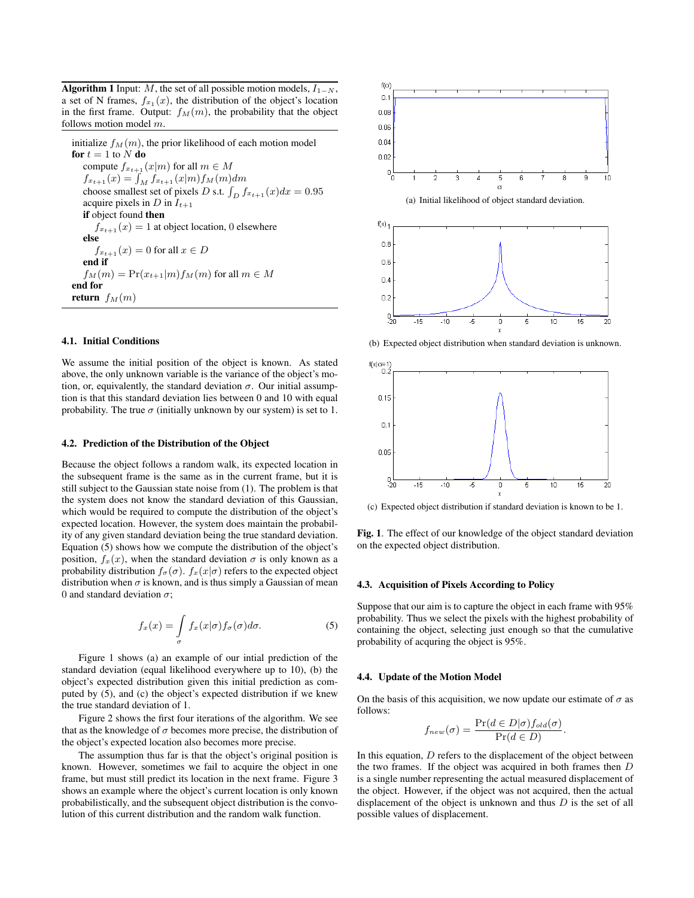**Algorithm 1** Input: M, the set of all possible motion models,  $I_{1-N}$ , a set of N frames,  $f_{x_1}(x)$ , the distribution of the object's location in the first frame. Output:  $f<sub>M</sub>(m)$ , the probability that the object follows motion model  $m$ .

initialize  $f<sub>M</sub>(m)$ , the prior likelihood of each motion model for  $t = 1$  to N do compute  $f_{x_{t+1}}(x|m)$  for all  $m \in M$  $f_{x_{t+1}}(x) = \int_M f_{x_{t+1}}(x|m) f_M(m) dm$ choose smallest set of pixels D s.t.  $\int_D f_{x_{t+1}}(x)dx = 0.95$ acquire pixels in  $D$  in  $I_{t+1}$ if object found then  $f_{x_{t+1}}(x) = 1$  at object location, 0 elsewhere else  $f_{x_{t+1}}(x) = 0$  for all  $x \in D$ end if  $f_M(m) = Pr(x_{t+1}|m) f_M(m)$  for all  $m \in M$ end for return  $f_M(m)$ 

#### 4.1. Initial Conditions

We assume the initial position of the object is known. As stated above, the only unknown variable is the variance of the object's motion, or, equivalently, the standard deviation  $\sigma$ . Our initial assumption is that this standard deviation lies between 0 and 10 with equal probability. The true  $\sigma$  (initially unknown by our system) is set to 1.

## 4.2. Prediction of the Distribution of the Object

Because the object follows a random walk, its expected location in the subsequent frame is the same as in the current frame, but it is still subject to the Gaussian state noise from (1). The problem is that the system does not know the standard deviation of this Gaussian, which would be required to compute the distribution of the object's expected location. However, the system does maintain the probability of any given standard deviation being the true standard deviation. Equation (5) shows how we compute the distribution of the object's position,  $f_x(x)$ , when the standard deviation  $\sigma$  is only known as a probability distribution  $f_{\sigma}(\sigma)$ .  $f_{x}(x|\sigma)$  refers to the expected object distribution when  $\sigma$  is known, and is thus simply a Gaussian of mean 0 and standard deviation  $\sigma$ ;

$$
f_x(x) = \int_{\sigma} f_x(x|\sigma) f_{\sigma}(\sigma) d\sigma.
$$
 (5)

Figure 1 shows (a) an example of our intial prediction of the standard deviation (equal likelihood everywhere up to 10), (b) the object's expected distribution given this initial prediction as computed by (5), and (c) the object's expected distribution if we knew the true standard deviation of 1.

Figure 2 shows the first four iterations of the algorithm. We see that as the knowledge of  $\sigma$  becomes more precise, the distribution of the object's expected location also becomes more precise.

The assumption thus far is that the object's original position is known. However, sometimes we fail to acquire the object in one frame, but must still predict its location in the next frame. Figure 3 shows an example where the object's current location is only known probabilistically, and the subsequent object distribution is the convolution of this current distribution and the random walk function.



(b) Expected object distribution when standard deviation is unknown.



(c) Expected object distribution if standard deviation is known to be 1.

Fig. 1. The effect of our knowledge of the object standard deviation on the expected object distribution.

#### 4.3. Acquisition of Pixels According to Policy

Suppose that our aim is to capture the object in each frame with 95% probability. Thus we select the pixels with the highest probability of containing the object, selecting just enough so that the cumulative probability of acquring the object is 95%.

#### 4.4. Update of the Motion Model

On the basis of this acquisition, we now update our estimate of  $\sigma$  as follows:

$$
f_{new}(\sigma) = \frac{\Pr(d \in D | \sigma) f_{old}(\sigma)}{\Pr(d \in D)}.
$$

In this equation,  $D$  refers to the displacement of the object between the two frames. If the object was acquired in both frames then  $D$ is a single number representing the actual measured displacement of the object. However, if the object was not acquired, then the actual displacement of the object is unknown and thus  $D$  is the set of all possible values of displacement.